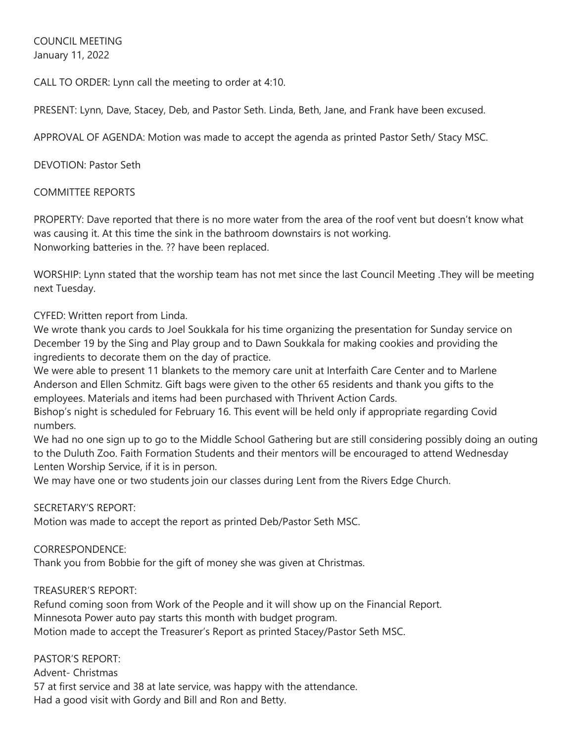COUNCIL MEETING January 11, 2022

CALL TO ORDER: Lynn call the meeting to order at 4:10.

PRESENT: Lynn, Dave, Stacey, Deb, and Pastor Seth. Linda, Beth, Jane, and Frank have been excused.

APPROVAL OF AGENDA: Motion was made to accept the agenda as printed Pastor Seth/ Stacy MSC.

DEVOTION: Pastor Seth

COMMITTEE REPORTS

PROPERTY: Dave reported that there is no more water from the area of the roof vent but doesn't know what was causing it. At this time the sink in the bathroom downstairs is not working. Nonworking batteries in the. ?? have been replaced.

WORSHIP: Lynn stated that the worship team has not met since the last Council Meeting .They will be meeting next Tuesday.

CYFED: Written report from Linda.

We wrote thank you cards to Joel Soukkala for his time organizing the presentation for Sunday service on December 19 by the Sing and Play group and to Dawn Soukkala for making cookies and providing the ingredients to decorate them on the day of practice.

We were able to present 11 blankets to the memory care unit at Interfaith Care Center and to Marlene Anderson and Ellen Schmitz. Gift bags were given to the other 65 residents and thank you gifts to the employees. Materials and items had been purchased with Thrivent Action Cards.

Bishop's night is scheduled for February 16. This event will be held only if appropriate regarding Covid numbers.

We had no one sign up to go to the Middle School Gathering but are still considering possibly doing an outing to the Duluth Zoo. Faith Formation Students and their mentors will be encouraged to attend Wednesday Lenten Worship Service, if it is in person.

We may have one or two students join our classes during Lent from the Rivers Edge Church.

## SECRETARY'S REPORT:

Motion was made to accept the report as printed Deb/Pastor Seth MSC.

## CORRESPONDENCE:

Thank you from Bobbie for the gift of money she was given at Christmas.

TREASURER'S REPORT:

Refund coming soon from Work of the People and it will show up on the Financial Report. Minnesota Power auto pay starts this month with budget program. Motion made to accept the Treasurer's Report as printed Stacey/Pastor Seth MSC.

PASTOR'S REPORT:

Advent- Christmas 57 at first service and 38 at late service, was happy with the attendance. Had a good visit with Gordy and Bill and Ron and Betty.